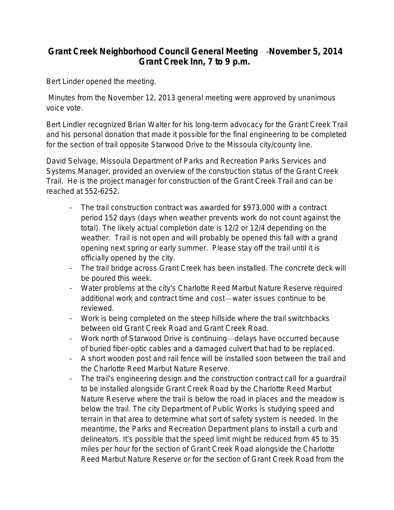## **Grant Creek Neighborhood Council General Meeting** –**November 5, 2014 Grant Creek Inn, 7 to 9 p.m.**

Bert Linder opened the meeting.

 Minutes from the November 12, 2013 general meeting were approved by unanimous voice vote.

Bert Lindler recognized Brian Walter for his long-term advocacy for the Grant Creek Trail and his personal donation that made it possible for the final engineering to be completed for the section of trail opposite Starwood Drive to the Missoula city/county line.

David Selvage, Missoula Department of Parks and Recreation Parks Services and Systems Manager, provided an overview of the construction status of the Grant Creek Trail. He is the project manager for construction of the Grant Creek Trail and can be reached at 552-6252.

- The trail construction contract was awarded for \$973,000 with a contract period 152 days (days when weather prevents work do not count against the total). The likely actual completion date is 12/2 or 12/4 depending on the weather. Trail is not open and will probably be opened this fall with a grand opening next spring or early summer. Please stay off the trail until it is officially opened by the city.
- The trail bridge across Grant Creek has been installed. The concrete deck will be poured this week.
- Water problems at the city's Charlotte Reed Marbut Nature Reserve required additional work and contract time and cost—water issues continue to be reviewed.
- Work is being completed on the steep hillside where the trail switchbacks between old Grant Creek Road and Grant Creek Road.
- Work north of Starwood Drive is continuing—delays have occurred because of buried fiber-optic cables and a damaged culvert that had to be replaced.
- A short wooden post and rail fence will be installed soon between the trail and the Charlotte Reed Marbut Nature Reserve.
- The trail's engineering design and the construction contract call for a guardrail to be installed alongside Grant Creek Road by the Charlotte Reed Marbut Nature Reserve where the trail is below the road in places and the meadow is below the trail. The city Department of Public Works is studying speed and terrain in that area to determine what sort of safety system is needed. In the meantime, the Parks and Recreation Department plans to install a curb and delineators. It's possible that the speed limit might be reduced from 45 to 35 miles per hour for the section of Grant Creek Road alongside the Charlotte Reed Marbut Nature Reserve or for the section of Grant Creek Road from the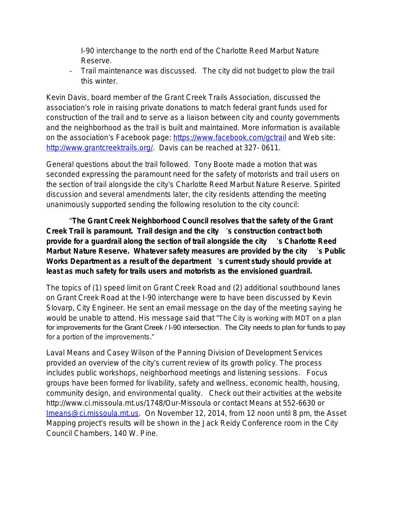I-90 interchange to the north end of the Charlotte Reed Marbut Nature Reserve.

- Trail maintenance was discussed. The city did not budget to plow the trail this winter.

Kevin Davis, board member of the Grant Creek Trails Association, discussed the association's role in raising private donations to match federal grant funds used for construction of the trail and to serve as a liaison between city and county governments and the neighborhood as the trail is built and maintained. More information is available on the association's Facebook page: <https://www.facebook.com/gctrail> and Web site: [http://www.grantcreektrails.org/.](http://www.grantcreektrails.org/) Davis can be reached at 327-0611.

General questions about the trail followed. Tony Boote made a motion that was seconded expressing the paramount need for the safety of motorists and trail users on the section of trail alongside the city's Charlotte Reed Marbut Nature Reserve. Spirited discussion and several amendments later, the city residents attending the meeting unanimously supported sending the following resolution to the city council:

"**The Grant Creek Neighborhood Council resolves that the safety of the Grant Creek Trail is paramount. Trail design and the city** '**s construction contract both provide for a guardrail along the section of trail alongside the city** '**s Charlotte Reed Marbut Nature Reserve. Whatever safety measures are provided by the city** '**s Public Works Department as a result of the department** '**s current study should provide at least as much safety for trails users and motorists as the envisioned guardrail.** 

The topics of (1) speed limit on Grant Creek Road and (2) additional southbound lanes on Grant Creek Road at the I-90 interchange were to have been discussed by Kevin Slovarp, City Engineer. He sent an email message on the day of the meeting saying he would be unable to attend. His message said that "The City is working with MDT on a plan for improvements for the Grant Creek / I-90 intersection. The City needs to plan for funds to pay for a portion of the improvements."

Laval Means and Casey Wilson of the Panning Division of Development Services provided an overview of the city's current review of its growth policy. The process includes public workshops, neighborhood meetings and listening sessions. Focus groups have been formed for livability, safety and wellness, economic health, housing, community design, and environmental quality. Check out their activities at the website http://www.ci.missoula.mt.us/1748/Our-Missoula or contact Means at 552-6630 or [Imeans@ci.missoula.mt.us.](mailto:Imeans@ci.missoula.mt.us) On November 12, 2014, from 12 noon until 8 pm, the Asset Mapping project's results will be shown in the Jack Reidy Conference room in the City Council Chambers, 140 W. Pine.